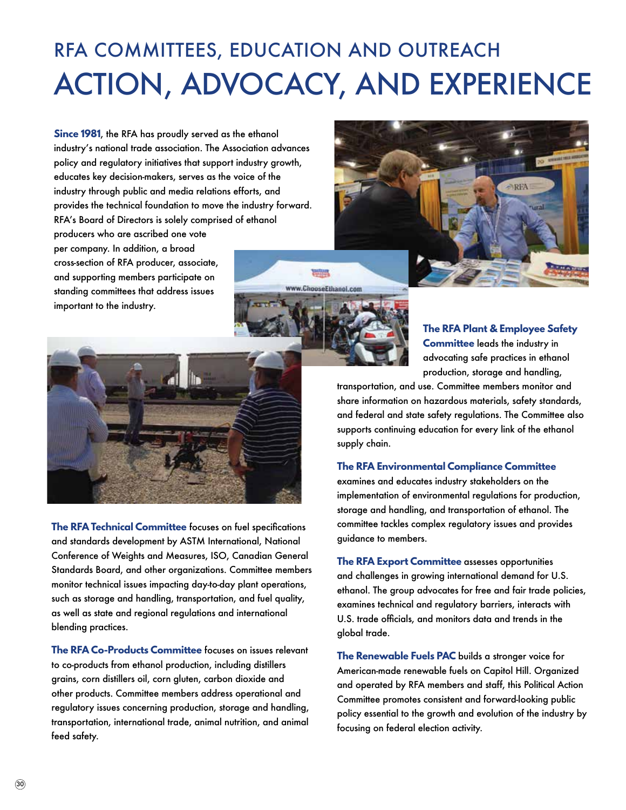## RFA COMMITTEES, EDUCATION AND OUTREACH ACTION, ADVOCACY, AND EXPERIENCE

**Since 1981**, the RFA has proudly served as the ethanol industry's national trade association. The Association advances policy and regulatory initiatives that support industry growth, educates key decision-makers, serves as the voice of the industry through public and media relations efforts, and provides the technical foundation to move the industry forward. RFA's Board of Directors is solely comprised of ethanol

producers who are ascribed one vote per company. In addition, a broad cross-section of RFA producer, associate, and supporting members participate on standing committees that address issues important to the industry.





**The RFA Plant & Employee Safety Committee** leads the industry in advocating safe practices in ethanol production, storage and handling,

transportation, and use. Committee members monitor and share information on hazardous materials, safety standards, and federal and state safety regulations. The Committee also supports continuing education for every link of the ethanol supply chain.

## **The RFA Environmental Compliance Committee**

examines and educates industry stakeholders on the implementation of environmental regulations for production, storage and handling, and transportation of ethanol. The committee tackles complex regulatory issues and provides guidance to members.

**The RFA Export Committee** assesses opportunities and challenges in growing international demand for U.S. ethanol. The group advocates for free and fair trade policies, examines technical and regulatory barriers, interacts with U.S. trade officials, and monitors data and trends in the global trade.

**The Renewable Fuels PAC** builds a stronger voice for American-made renewable fuels on Capitol Hill. Organized and operated by RFA members and staff, this Political Action Committee promotes consistent and forward-looking public policy essential to the growth and evolution of the industry by focusing on federal election activity.



**The RFA Technical Committee** focuses on fuel specifications and standards development by ASTM International, National Conference of Weights and Measures, ISO, Canadian General Standards Board, and other organizations. Committee members monitor technical issues impacting day-to-day plant operations, such as storage and handling, transportation, and fuel quality, as well as state and regional regulations and international blending practices.

**The RFA Co-Products Committee** focuses on issues relevant to co-products from ethanol production, including distillers grains, corn distillers oil, corn gluten, carbon dioxide and other products. Committee members address operational and regulatory issues concerning production, storage and handling, transportation, international trade, animal nutrition, and animal feed safety.